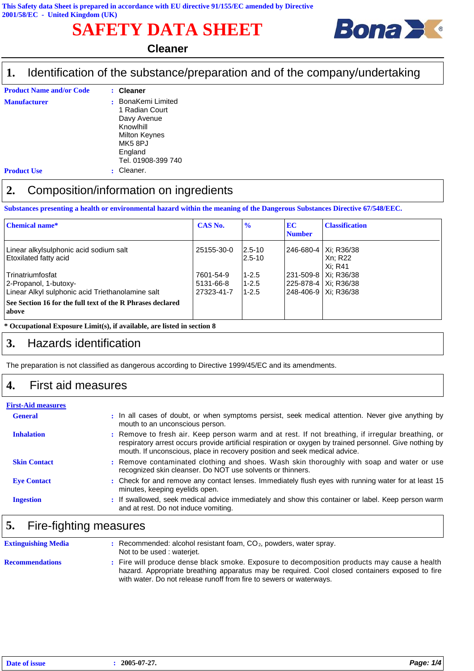# **SAFETY DATA SHEET**



#### **Cleaner**

#### Identification of the substance/preparation and of the company/undertaking **1.**

| <b>Product Name and/or Code</b> | : Cleaner                                                                                                                  |
|---------------------------------|----------------------------------------------------------------------------------------------------------------------------|
| <b>Manufacturer</b>             | BonaKemi Limited<br>1 Radian Court<br>Davy Avenue<br>Knowlhill<br>Milton Keynes<br>MK58PJ<br>England<br>Tel. 01908-399 740 |
| <b>Product Use</b>              | Cleaner.                                                                                                                   |

#### **2.** Composition/information on ingredients

**Substances presenting a health or environmental hazard within the meaning of the Dangerous Substances Directive 67/548/EEC.**

| <b>Chemical name*</b>                                               | <b>CAS No.</b> | $\frac{1}{2}$         | <b>EC</b><br><b>Number</b> | <b>Classification</b>                        |
|---------------------------------------------------------------------|----------------|-----------------------|----------------------------|----------------------------------------------|
| Linear alkylsulphonic acid sodium salt<br>Etoxilated fatty acid     | 25155-30-0     | $12.5 - 10$<br>2.5-10 |                            | 246-680-4   Xi: R36/38<br>Xn: R22<br>Xi: R41 |
| l Trinatriumfosfat                                                  | 7601-54-9      | $1 - 2.5$             |                            | 231-509-8   Xi: R36/38                       |
| 2-Propanol, 1-butoxy-                                               | 5131-66-8      | $1 - 2.5$             |                            | 225-878-4   Xi: R36/38                       |
| Linear Alkyl sulphonic acid Triethanolamine salt                    | 27323-41-7     | $1 - 2.5$             |                            | 248-406-9   Xi: R36/38                       |
| See Section 16 for the full text of the R Phrases declared<br>above |                |                       |                            |                                              |

#### **\* Occupational Exposure Limit(s), if available, are listed in section 8**

#### **3.** Hazards identification

The preparation is not classified as dangerous according to Directive 1999/45/EC and its amendments.

#### **4.** First aid measures

| <b>First-Aid measures</b> |                                                                                                                                                                                                                                                                                             |
|---------------------------|---------------------------------------------------------------------------------------------------------------------------------------------------------------------------------------------------------------------------------------------------------------------------------------------|
| <b>General</b>            | : In all cases of doubt, or when symptoms persist, seek medical attention. Never give anything by<br>mouth to an unconscious person.                                                                                                                                                        |
| <b>Inhalation</b>         | : Remove to fresh air. Keep person warm and at rest. If not breathing, if irregular breathing, or<br>respiratory arrest occurs provide artificial respiration or oxygen by trained personnel. Give nothing by<br>mouth. If unconscious, place in recovery position and seek medical advice. |
| <b>Skin Contact</b>       | : Remove contaminated clothing and shoes. Wash skin thoroughly with soap and water or use<br>recognized skin cleanser. Do NOT use solvents or thinners.                                                                                                                                     |
| <b>Eye Contact</b>        | : Check for and remove any contact lenses. Immediately flush eyes with running water for at least 15<br>minutes, keeping eyelids open.                                                                                                                                                      |
| <b>Ingestion</b>          | : If swallowed, seek medical advice immediately and show this container or label. Keep person warm<br>and at rest. Do not induce vomiting.                                                                                                                                                  |

### **5.** Fire-fighting measures

| <b>Extinguishing Media</b> | $:$ Recommended: alcohol resistant foam, $CO2$ , powders, water spray.<br>Not to be used: waterjet.                                                                                                                                                                    |
|----------------------------|------------------------------------------------------------------------------------------------------------------------------------------------------------------------------------------------------------------------------------------------------------------------|
| <b>Recommendations</b>     | : Fire will produce dense black smoke. Exposure to decomposition products may cause a health<br>hazard. Appropriate breathing apparatus may be required. Cool closed containers exposed to fire<br>with water. Do not release runoff from fire to sewers or waterways. |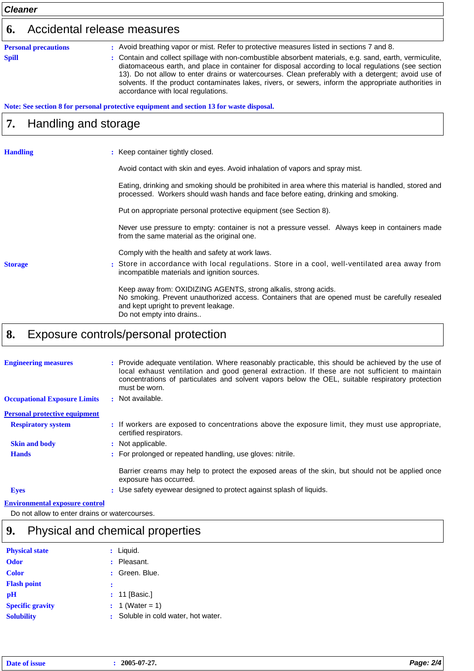| <b>Cleaner</b>  |                             |                                                                                                                                                                                                                                                                                                                                                                                                                                                                                                                                                                  |  |  |  |
|-----------------|-----------------------------|------------------------------------------------------------------------------------------------------------------------------------------------------------------------------------------------------------------------------------------------------------------------------------------------------------------------------------------------------------------------------------------------------------------------------------------------------------------------------------------------------------------------------------------------------------------|--|--|--|
| 6.              | Accidental release measures |                                                                                                                                                                                                                                                                                                                                                                                                                                                                                                                                                                  |  |  |  |
| <b>Spill</b>    | <b>Personal precautions</b> | : Avoid breathing vapor or mist. Refer to protective measures listed in sections 7 and 8.<br>: Contain and collect spillage with non-combustible absorbent materials, e.g. sand, earth, vermiculite,<br>diatomaceous earth, and place in container for disposal according to local regulations (see section<br>13). Do not allow to enter drains or watercourses. Clean preferably with a detergent; avoid use of<br>solvents. If the product contaminates lakes, rivers, or sewers, inform the appropriate authorities in<br>accordance with local regulations. |  |  |  |
|                 |                             | Note: See section 8 for personal protective equipment and section 13 for waste disposal.                                                                                                                                                                                                                                                                                                                                                                                                                                                                         |  |  |  |
| 7.              | Handling and storage        |                                                                                                                                                                                                                                                                                                                                                                                                                                                                                                                                                                  |  |  |  |
| <b>Handling</b> |                             | : Keep container tightly closed.                                                                                                                                                                                                                                                                                                                                                                                                                                                                                                                                 |  |  |  |
|                 |                             | Avoid contact with skin and eyes. Avoid inhalation of vapors and spray mist.                                                                                                                                                                                                                                                                                                                                                                                                                                                                                     |  |  |  |
|                 |                             | Eating, drinking and smoking should be prohibited in area where this material is handled, stored and<br>processed. Workers should wash hands and face before eating, drinking and smoking.                                                                                                                                                                                                                                                                                                                                                                       |  |  |  |
|                 |                             | Put on appropriate personal protective equipment (see Section 8).                                                                                                                                                                                                                                                                                                                                                                                                                                                                                                |  |  |  |
|                 |                             | Never use pressure to empty: container is not a pressure vessel. Always keep in containers made<br>from the same material as the original one.                                                                                                                                                                                                                                                                                                                                                                                                                   |  |  |  |
|                 |                             | Comply with the health and safety at work laws.                                                                                                                                                                                                                                                                                                                                                                                                                                                                                                                  |  |  |  |
| <b>Storage</b>  |                             | : Store in accordance with local regulations. Store in a cool, well-ventilated area away from<br>incompatible materials and ignition sources.                                                                                                                                                                                                                                                                                                                                                                                                                    |  |  |  |
|                 |                             | Keep away from: OXIDIZING AGENTS, strong alkalis, strong acids.<br>No smoking. Prevent unauthorized access. Containers that are opened must be carefully resealed<br>and kept upright to prevent leakage.<br>Do not empty into drains                                                                                                                                                                                                                                                                                                                            |  |  |  |
| O               |                             | controle/poroopol_protoction                                                                                                                                                                                                                                                                                                                                                                                                                                                                                                                                     |  |  |  |

### **8.** Exposure controls/personal protection

| <b>Engineering measures</b>           | : Provide adequate ventilation. Where reasonably practicable, this should be achieved by the use of<br>local exhaust ventilation and good general extraction. If these are not sufficient to maintain<br>concentrations of particulates and solvent vapors below the OEL, suitable respiratory protection<br>must be worn. |
|---------------------------------------|----------------------------------------------------------------------------------------------------------------------------------------------------------------------------------------------------------------------------------------------------------------------------------------------------------------------------|
| <b>Occupational Exposure Limits</b>   | : Not available.                                                                                                                                                                                                                                                                                                           |
| <b>Personal protective equipment</b>  |                                                                                                                                                                                                                                                                                                                            |
| <b>Respiratory system</b>             | : If workers are exposed to concentrations above the exposure limit, they must use appropriate,<br>certified respirators.                                                                                                                                                                                                  |
| <b>Skin and body</b>                  | : Not applicable.                                                                                                                                                                                                                                                                                                          |
| <b>Hands</b>                          | : For prolonged or repeated handling, use gloves: nitrile.                                                                                                                                                                                                                                                                 |
|                                       | Barrier creams may help to protect the exposed areas of the skin, but should not be applied once<br>exposure has occurred.                                                                                                                                                                                                 |
| <b>Eyes</b>                           | : Use safety eyewear designed to protect against splash of liquids.                                                                                                                                                                                                                                                        |
| <b>Environmental exposure control</b> |                                                                                                                                                                                                                                                                                                                            |

Do not allow to enter drains or watercourses.

# **9.** Physical and chemical properties

| <b>Physical state</b>   | $:$ Liquid.                         |
|-------------------------|-------------------------------------|
| <b>Odor</b>             | Pleasant.<br>÷                      |
| <b>Color</b>            | : Green. Blue.                      |
| <b>Flash point</b>      |                                     |
| pH                      | $: 11$ [Basic.]                     |
| <b>Specific gravity</b> | : 1 (Water = 1)                     |
| <b>Solubility</b>       | : Soluble in cold water, hot water. |
|                         |                                     |

| Date. | 2005-07-27. | 2/4<br>ane<br>$-2$ |
|-------|-------------|--------------------|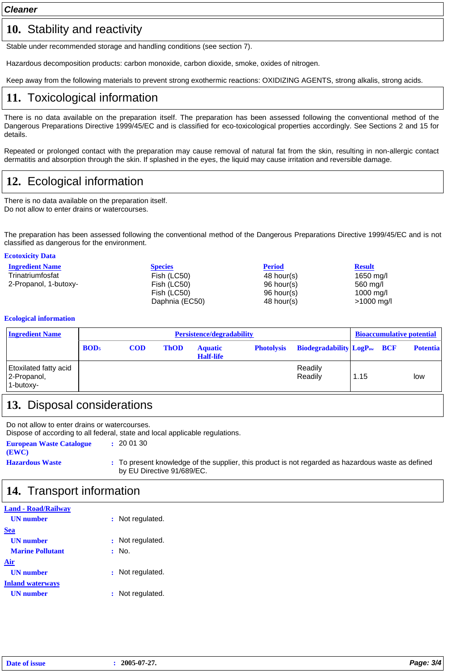*Cleaner*

### 10. Stability and reactivity

Stable under recommended storage and handling conditions (see section 7).

Hazardous decomposition products: carbon monoxide, carbon dioxide, smoke, oxides of nitrogen.

Keep away from the following materials to prevent strong exothermic reactions: OXIDIZING AGENTS, strong alkalis, strong acids.

## **11.** Toxicological information

There is no data available on the preparation itself. The preparation has been assessed following the conventional method of the Dangerous Preparations Directive 1999/45/EC and is classified for eco-toxicological properties accordingly. See Sections 2 and 15 for details.

Repeated or prolonged contact with the preparation may cause removal of natural fat from the skin, resulting in non-allergic contact dermatitis and absorption through the skin. If splashed in the eyes, the liquid may cause irritation and reversible damage.

# **12.** Ecological information

There is no data available on the preparation itself. Do not allow to enter drains or watercourses.

The preparation has been assessed following the conventional method of the Dangerous Preparations Directive 1999/45/EC and is not classified as dangerous for the environment.

#### **Ecotoxicity Data**

| <b>Ingredient Name</b> | <b>Species</b> | <b>Period</b> | <b>Result</b>        |
|------------------------|----------------|---------------|----------------------|
| Trinatriumfosfat       | Fish (LC50)    | 48 hour(s)    | 1650 mg/l            |
| 2-Propanol, 1-butoxy-  | Fish (LC50)    | 96 hour(s)    | 560 mg/l             |
|                        | Fish (LC50)    | 96 hour(s)    | $1000 \text{ m}$ a/l |
|                        | Daphnia (EC50) | 48 hour(s)    | $>1000$ mg/l         |

#### **Ecological information**

| <b>Ingredient Name</b>                            |                  | Persistence/degradability |             |                                    |  | <b>Bioaccumulative potential</b>                          |      |  |                 |
|---------------------------------------------------|------------------|---------------------------|-------------|------------------------------------|--|-----------------------------------------------------------|------|--|-----------------|
|                                                   | BOD <sub>5</sub> | <b>COD</b>                | <b>ThOD</b> | <b>Aquatic</b><br><b>Half-life</b> |  | <b>Photolysis</b> Biodegradability LogP <sub>ow</sub> BCF |      |  | <b>Potentia</b> |
| Etoxilated fatty acid<br>2-Propanol,<br>1-butoxy- |                  |                           |             |                                    |  | Readily<br>Readily                                        | 1.15 |  | low             |

## **13.** Disposal considerations

Do not allow to enter drains or watercourses. Dispose of according to all federal, state and local applicable regulations. **European Waste Catalogue :** 20 01 30 **(EWC)**

**Hazardous Waste :** To present knowledge of the supplier, this product is not regarded as hazardous waste as defined by EU Directive 91/689/EC.

### **14.** Transport information

| <b>Land - Road/Railway</b> |                      |
|----------------------------|----------------------|
| <b>UN</b> number           | Not regulated.<br>÷. |
| <b>Sea</b>                 |                      |
| <b>UN</b> number           | : Not regulated.     |
| <b>Marine Pollutant</b>    | : No.                |
| Air                        |                      |
| <b>UN</b> number           | : Not regulated.     |
| <b>Inland waterways</b>    |                      |
| <b>UN</b> number           | Not regulated.<br>÷  |
|                            |                      |

| Date of issue | 2005-07-27. | Page: 3/4 |
|---------------|-------------|-----------|
|---------------|-------------|-----------|